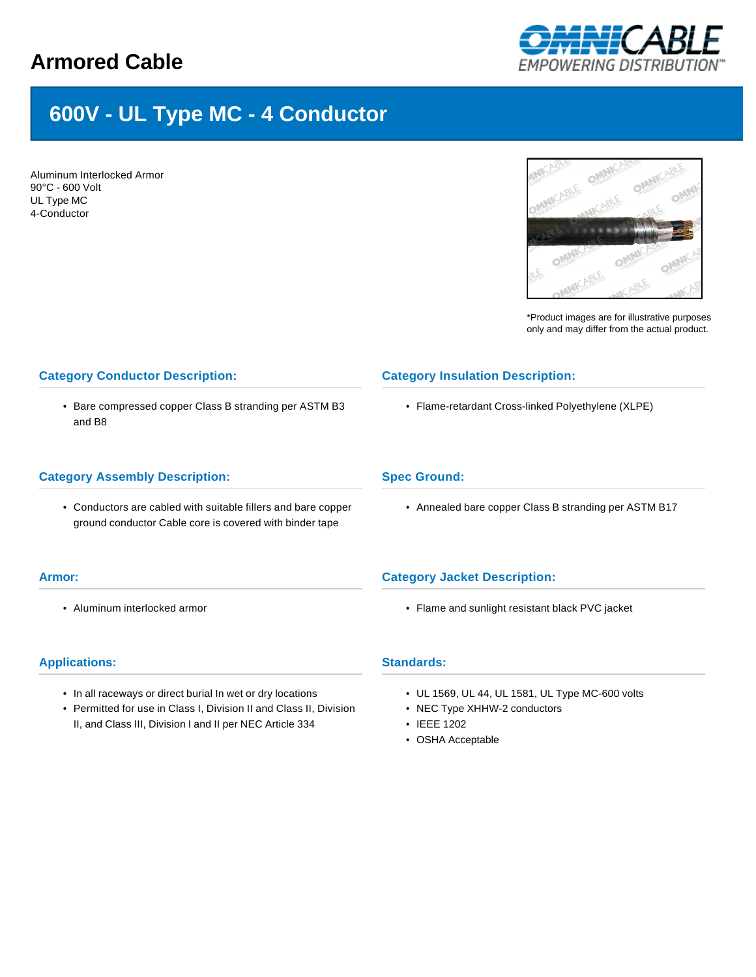# **Armored Cable**



# **600V - UL Type MC - 4 Conductor**

Aluminum Interlocked Armor 90°C - 600 Volt UL Type MC 4-Conductor



\*Product images are for illustrative purposes only and may differ from the actual product.

# **Category Conductor Description:**

• Bare compressed copper Class B stranding per ASTM B3 and B8

#### **Category Assembly Description:**

• Conductors are cabled with suitable fillers and bare copper ground conductor Cable core is covered with binder tape

#### **Armor:**

• Aluminum interlocked armor

#### **Applications:**

- In all raceways or direct burial In wet or dry locations
- Permitted for use in Class I, Division II and Class II, Division II, and Class III, Division I and II per NEC Article 334

## **Category Insulation Description:**

• Flame-retardant Cross-linked Polyethylene (XLPE)

#### **Spec Ground:**

• Annealed bare copper Class B stranding per ASTM B17

#### **Category Jacket Description:**

• Flame and sunlight resistant black PVC jacket

## **Standards:**

- UL 1569, UL 44, UL 1581, UL Type MC-600 volts
- NEC Type XHHW-2 conductors
- IEEE 1202
- OSHA Acceptable